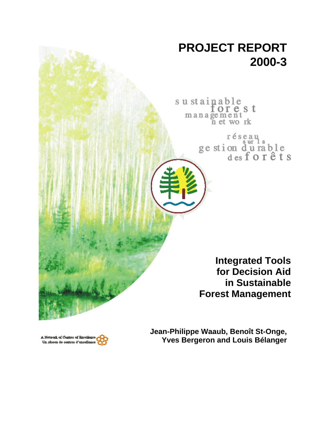

A Network of Contres of Rucellance<br>Un réseau de contres d'excellence

**Jean-Philippe Waaub, Benoît St-Onge, Yves Bergeron and Louis Bélanger**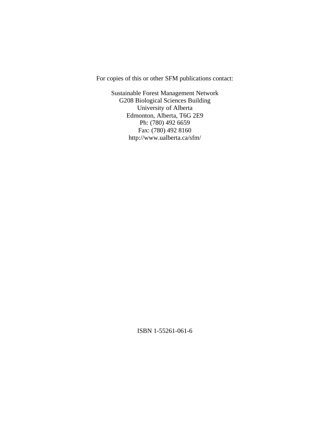For copies of this or other SFM publications contact:

Sustainable Forest Management Network G208 Biological Sciences Building University of Alberta Edmonton, Alberta, T6G 2E9 Ph: (780) 492 6659 Fax: (780) 492 8160 http://www.ualberta.ca/sfm/

ISBN 1-55261-061-6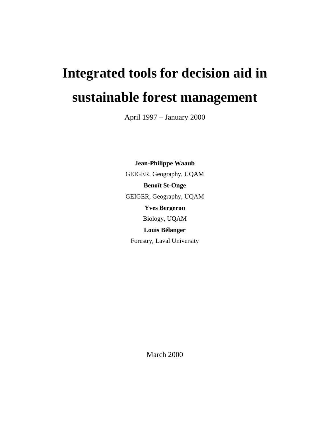# **Integrated tools for decision aid in sustainable forest management**

April 1997 – January 2000

**Jean-Philippe Waaub** GEIGER, Geography, UQAM **Benoît St-Onge** GEIGER, Geography, UQAM **Yves Bergeron** Biology, UQAM **Louis Bélanger** Forestry, Laval University

March 2000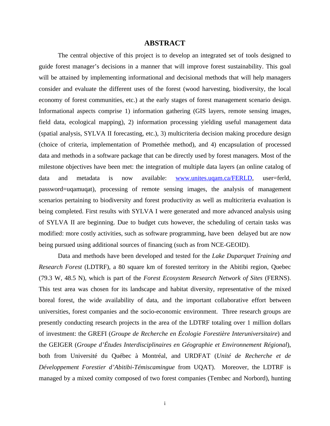# **ABSTRACT**

The central objective of this project is to develop an integrated set of tools designed to guide forest manager's decisions in a manner that will improve forest sustainability. This goal will be attained by implementing informational and decisional methods that will help managers consider and evaluate the different uses of the forest (wood harvesting, biodiversity, the local economy of forest communities, etc.) at the early stages of forest management scenario design. Informational aspects comprise 1) information gathering (GIS layers, remote sensing images, field data, ecological mapping), 2) information processing yielding useful management data (spatial analysis, SYLVA II forecasting, etc.), 3) multicriteria decision making procedure design (choice of criteria, implementation of Promethée method), and 4) encapsulation of processed data and methods in a software package that can be directly used by forest managers. Most of the milestone objectives have been met: the integration of multiple data layers (an online catalog of data and metadata is now available: www.unites.uqam.ca/FERLD, user=ferld, password=uqamuqat), processing of remote sensing images, the analysis of management scenarios pertaining to biodiversity and forest productivity as well as multicriteria evaluation is being completed. First results with SYLVA I were generated and more advanced analysis using of SYLVA II are beginning. Due to budget cuts however, the scheduling of certain tasks was modified: more costly activities, such as software programming, have been delayed but are now being pursued using additional sources of financing (such as from NCE-GEOID).

Data and methods have been developed and tested for the *Lake Duparquet Training and Research Forest* (LDTRF), a 80 square km of forested territory in the Abitibi region, Quebec (79.3 W, 48.5 N), which is part of the *Forest Ecosystem Research Network of Sites* (FERNS). This test area was chosen for its landscape and habitat diversity, representative of the mixed boreal forest, the wide availability of data, and the important collaborative effort between universities, forest companies and the socio-economic environment. Three research groups are presently conducting research projects in the area of the LDTRF totaling over 1 million dollars of investment: the GREFI (*Groupe de Recherche en Écologie Forestière Interuniversitaire*) and the GEIGER (*Groupe d'Études Interdisciplinaires en Géographie et Environnement Régional*), both from Université du Québec à Montréal, and URDFAT (*Unité de Recherche et de Développement Forestier d'Abitibi-Témiscamingue* from UQAT). Moreover, the LDTRF is managed by a mixed comity composed of two forest companies (Tembec and Norbord), hunting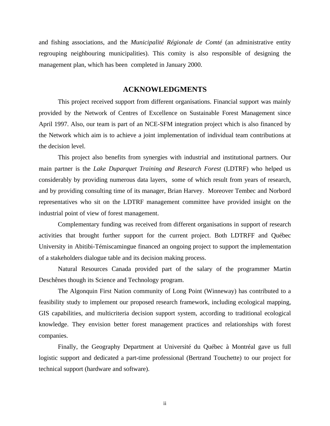and fishing associations, and the *Municipalité Régionale de Comté* (an administrative entity regrouping neighbouring municipalities). This comity is also responsible of designing the management plan, which has been completed in January 2000.

# **ACKNOWLEDGMENTS**

This project received support from different organisations. Financial support was mainly provided by the Network of Centres of Excellence on Sustainable Forest Management since April 1997. Also, our team is part of an NCE-SFM integration project which is also financed by the Network which aim is to achieve a joint implementation of individual team contributions at the decision level.

This project also benefits from synergies with industrial and institutional partners. Our main partner is the *Lake Duparquet Training and Research Forest* (LDTRF) who helped us considerably by providing numerous data layers, some of which result from years of research, and by providing consulting time of its manager, Brian Harvey. Moreover Tembec and Norbord representatives who sit on the LDTRF management committee have provided insight on the industrial point of view of forest management.

Complementary funding was received from different organisations in support of research activities that brought further support for the current project. Both LDTRFF and Québec University in Abitibi-Témiscamingue financed an ongoing project to support the implementation of a stakeholders dialogue table and its decision making process.

Natural Resources Canada provided part of the salary of the programmer Martin Deschênes though its Science and Technology program.

The Algonquin First Nation community of Long Point (Winneway) has contributed to a feasibility study to implement our proposed research framework, including ecological mapping, GIS capabilities, and multicriteria decision support system, according to traditional ecological knowledge. They envision better forest management practices and relationships with forest companies.

Finally, the Geography Department at Université du Québec à Montréal gave us full logistic support and dedicated a part-time professional (Bertrand Touchette) to our project for technical support (hardware and software).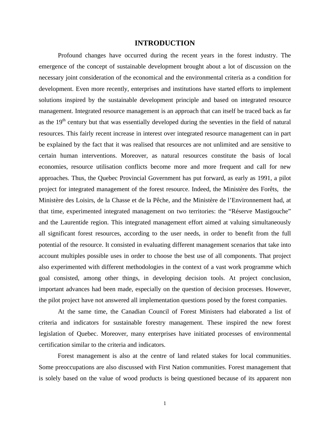# **INTRODUCTION**

Profound changes have occurred during the recent years in the forest industry. The emergence of the concept of sustainable development brought about a lot of discussion on the necessary joint consideration of the economical and the environmental criteria as a condition for development. Even more recently, enterprises and institutions have started efforts to implement solutions inspired by the sustainable development principle and based on integrated resource management. Integrated resource management is an approach that can itself be traced back as far as the  $19<sup>th</sup>$  century but that was essentially developed during the seventies in the field of natural resources. This fairly recent increase in interest over integrated resource management can in part be explained by the fact that it was realised that resources are not unlimited and are sensitive to certain human interventions. Moreover, as natural resources constitute the basis of local economies, resource utilisation conflicts become more and more frequent and call for new approaches. Thus, the Quebec Provincial Government has put forward, as early as 1991, a pilot project for integrated management of the forest resource. Indeed, the Ministère des Forêts, the Ministère des Loisirs, de la Chasse et de la Pêche, and the Ministère de l'Environnement had, at that time, experimented integrated management on two territories: the "Réserve Mastigouche" and the Laurentide region. This integrated management effort aimed at valuing simultaneously all significant forest resources, according to the user needs, in order to benefit from the full potential of the resource. It consisted in evaluating different management scenarios that take into account multiples possible uses in order to choose the best use of all components. That project also experimented with different methodologies in the context of a vast work programme which goal consisted, among other things, in developing decision tools. At project conclusion, important advances had been made, especially on the question of decision processes. However, the pilot project have not answered all implementation questions posed by the forest companies.

At the same time, the Canadian Council of Forest Ministers had elaborated a list of criteria and indicators for sustainable forestry management. These inspired the new forest legislation of Quebec. Moreover, many enterprises have initiated processes of environmental certification similar to the criteria and indicators.

 Forest management is also at the centre of land related stakes for local communities. Some preoccupations are also discussed with First Nation communities. Forest management that is solely based on the value of wood products is being questioned because of its apparent non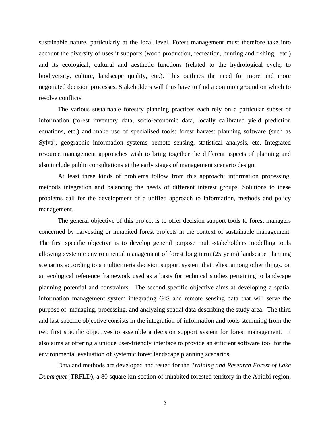sustainable nature, particularly at the local level. Forest management must therefore take into account the diversity of uses it supports (wood production, recreation, hunting and fishing, etc.) and its ecological, cultural and aesthetic functions (related to the hydrological cycle, to biodiversity, culture, landscape quality, etc.). This outlines the need for more and more negotiated decision processes. Stakeholders will thus have to find a common ground on which to resolve conflicts.

The various sustainable forestry planning practices each rely on a particular subset of information (forest inventory data, socio-economic data, locally calibrated yield prediction equations, etc.) and make use of specialised tools: forest harvest planning software (such as Sylva), geographic information systems, remote sensing, statistical analysis, etc. Integrated resource management approaches wish to bring together the different aspects of planning and also include public consultations at the early stages of management scenario design.

At least three kinds of problems follow from this approach: information processing, methods integration and balancing the needs of different interest groups. Solutions to these problems call for the development of a unified approach to information, methods and policy management.

The general objective of this project is to offer decision support tools to forest managers concerned by harvesting or inhabited forest projects in the context of sustainable management. The first specific objective is to develop general purpose multi-stakeholders modelling tools allowing systemic environmental management of forest long term (25 years) landscape planning scenarios according to a multicriteria decision support system that relies, among other things, on an ecological reference framework used as a basis for technical studies pertaining to landscape planning potential and constraints. The second specific objective aims at developing a spatial information management system integrating GIS and remote sensing data that will serve the purpose of managing, processing, and analyzing spatial data describing the study area. The third and last specific objective consists in the integration of information and tools stemming from the two first specific objectives to assemble a decision support system for forest management. It also aims at offering a unique user-friendly interface to provide an efficient software tool for the environmental evaluation of systemic forest landscape planning scenarios.

Data and methods are developed and tested for the *Training and Research Forest of Lake Duparquet* (TRFLD), a 80 square km section of inhabited forested territory in the Abitibi region,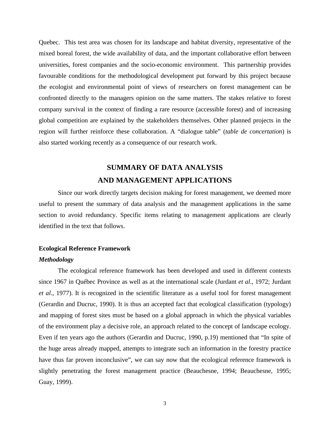Quebec. This test area was chosen for its landscape and habitat diversity, representative of the mixed boreal forest, the wide availability of data, and the important collaborative effort between universities, forest companies and the socio-economic environment. This partnership provides favourable conditions for the methodological development put forward by this project because the ecologist and environmental point of views of researchers on forest management can be confronted directly to the managers opinion on the same matters. The stakes relative to forest company survival in the context of finding a rare resource (accessible forest) and of increasing global competition are explained by the stakeholders themselves. Other planned projects in the region will further reinforce these collaboration. A "dialogue table" (*table de concertation*) is also started working recently as a consequence of our research work.

# **SUMMARY OF DATA ANALYSIS AND MANAGEMENT APPLICATIONS**

Since our work directly targets decision making for forest management, we deemed more useful to present the summary of data analysis and the management applications in the same section to avoid redundancy. Specific items relating to management applications are clearly identified in the text that follows.

# **Ecological Reference Framework**

#### *Methodology*

The ecological reference framework has been developed and used in different contexts since 1967 in Québec Province as well as at the international scale (Jurdant *et al*., 1972; Jurdant *et al*., 1977). It is recognized in the scientific literature as a useful tool for forest management (Gerardin and Ducruc, 1990). It is thus an accepted fact that ecological classification (typology) and mapping of forest sites must be based on a global approach in which the physical variables of the environment play a decisive role, an approach related to the concept of landscape ecology. Even if ten years ago the authors (Gerardin and Ducruc, 1990, p.19) mentioned that "In spite of the huge areas already mapped, attempts to integrate such an information in the forestry practice have thus far proven inconclusive", we can say now that the ecological reference framework is slightly penetrating the forest management practice (Beauchesne, 1994; Beauchesne, 1995; Guay, 1999).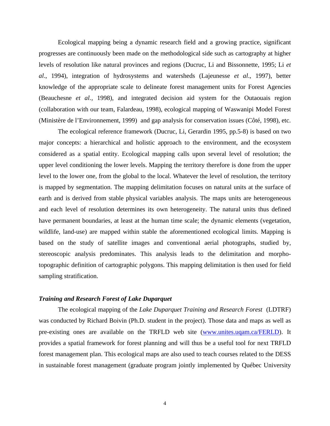Ecological mapping being a dynamic research field and a growing practice, significant progresses are continuously been made on the methodological side such as cartography at higher levels of resolution like natural provinces and regions (Ducruc, Li and Bissonnette, 1995; Li *et al*., 1994), integration of hydrosystems and watersheds (Lajeunesse *et al*., 1997), better knowledge of the appropriate scale to delineate forest management units for Forest Agencies (Beauchesne *et al.,* 1998), and integrated decision aid system for the Outaouais region (collaboration with our team, Falardeau, 1998), ecological mapping of Waswanipi Model Forest (Ministère de l'Environnement, 1999) and gap analysis for conservation issues (Côté, 1998), etc.

The ecological reference framework (Ducruc, Li, Gerardin 1995, pp.5-8) is based on two major concepts: a hierarchical and holistic approach to the environment, and the ecosystem considered as a spatial entity. Ecological mapping calls upon several level of resolution; the upper level conditioning the lower levels. Mapping the territory therefore is done from the upper level to the lower one, from the global to the local. Whatever the level of resolution, the territory is mapped by segmentation. The mapping delimitation focuses on natural units at the surface of earth and is derived from stable physical variables analysis. The maps units are heterogeneous and each level of resolution determines its own heterogeneity. The natural units thus defined have permanent boundaries, at least at the human time scale; the dynamic elements (vegetation, wildlife, land-use) are mapped within stable the aforementioned ecological limits. Mapping is based on the study of satellite images and conventional aerial photographs, studied by, stereoscopic analysis predominates. This analysis leads to the delimitation and morphotopographic definition of cartographic polygons. This mapping delimitation is then used for field sampling stratification.

# *Training and Research Forest of Lake Duparquet*

The ecological mapping of the *Lake Duparquet Training and Research Forest* (LDTRF) was conducted by Richard Boivin (Ph.D. student in the project). Those data and maps as well as pre-existing ones are available on the TRFLD web site (www.unites.uqam.ca/FERLD). It provides a spatial framework for forest planning and will thus be a useful tool for next TRFLD forest management plan. This ecological maps are also used to teach courses related to the DESS in sustainable forest management (graduate program jointly implemented by Québec University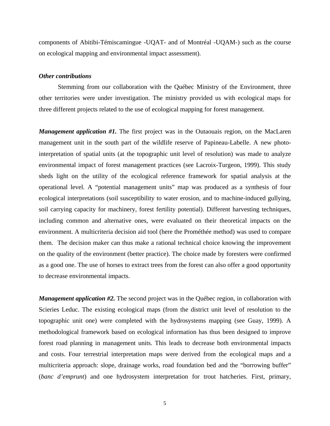components of Abitibi-Témiscamingue -UQAT- and of Montréal -UQAM-) such as the course on ecological mapping and environmental impact assessment).

# *Other contributions*

Stemming from our collaboration with the Québec Ministry of the Environment, three other territories were under investigation. The ministry provided us with ecological maps for three different projects related to the use of ecological mapping for forest management.

*Management application #1*. The first project was in the Outaouais region, on the MacLaren management unit in the south part of the wildlife reserve of Papineau-Labelle. A new photointerpretation of spatial units (at the topographic unit level of resolution) was made to analyze environmental impact of forest management practices (see Lacroix-Turgeon, 1999). This study sheds light on the utility of the ecological reference framework for spatial analysis at the operational level. A "potential management units" map was produced as a synthesis of four ecological interpretations (soil susceptibility to water erosion, and to machine-induced gullying, soil carrying capacity for machinery, forest fertility potential). Different harvesting techniques, including common and alternative ones, were evaluated on their theoretical impacts on the environment. A multicriteria decision aid tool (here the Prométhée method) was used to compare them. The decision maker can thus make a rational technical choice knowing the improvement on the quality of the environment (better practice). The choice made by foresters were confirmed as a good one. The use of horses to extract trees from the forest can also offer a good opportunity to decrease environmental impacts.

*Management application #2.* The second project was in the Québec region, in collaboration with Scieries Leduc. The existing ecological maps (from the district unit level of resolution to the topographic unit one) were completed with the hydrosystems mapping (see Guay, 1999). A methodological framework based on ecological information has thus been designed to improve forest road planning in management units. This leads to decrease both environmental impacts and costs. Four terrestrial interpretation maps were derived from the ecological maps and a multicriteria approach: slope, drainage works, road foundation bed and the "borrowing buffer" (*banc d'emprunt*) and one hydrosystem interpretation for trout hatcheries. First, primary,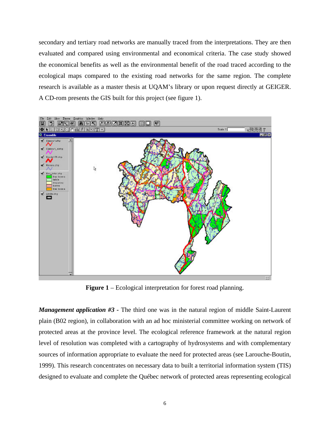secondary and tertiary road networks are manually traced from the interpretations. They are then evaluated and compared using environmental and economical criteria. The case study showed the economical benefits as well as the environmental benefit of the road traced according to the ecological maps compared to the existing road networks for the same region. The complete research is available as a master thesis at UQAM's library or upon request directly at GEIGER. A CD-rom presents the GIS built for this project (see figure 1).



**Figure 1** – Ecological interpretation for forest road planning.

*Management application #3* - The third one was in the natural region of middle Saint-Laurent plain (B02 region), in collaboration with an ad hoc ministerial committee working on network of protected areas at the province level. The ecological reference framework at the natural region level of resolution was completed with a cartography of hydrosystems and with complementary sources of information appropriate to evaluate the need for protected areas (see Larouche-Boutin, 1999). This research concentrates on necessary data to built a territorial information system (TIS) designed to evaluate and complete the Québec network of protected areas representing ecological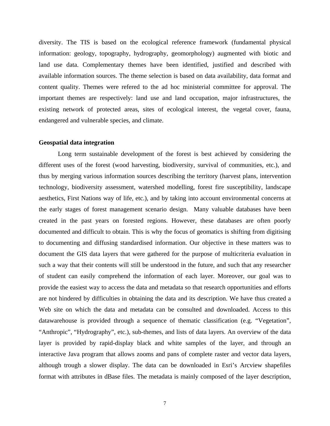diversity. The TIS is based on the ecological reference framework (fundamental physical information: geology, topography, hydrography, geomorphology) augmented with biotic and land use data. Complementary themes have been identified, justified and described with available information sources. The theme selection is based on data availability, data format and content quality. Themes were refered to the ad hoc ministerial committee for approval. The important themes are respectively: land use and land occupation, major infrastructures, the existing network of protected areas, sites of ecological interest, the vegetal cover, fauna, endangered and vulnerable species, and climate.

#### **Geospatial data integration**

Long term sustainable development of the forest is best achieved by considering the different uses of the forest (wood harvesting, biodiversity, survival of communities, etc.), and thus by merging various information sources describing the territory (harvest plans, intervention technology, biodiversity assessment, watershed modelling, forest fire susceptibility, landscape aesthetics, First Nations way of life, etc.), and by taking into account environmental concerns at the early stages of forest management scenario design. Many valuable databases have been created in the past years on forested regions. However, these databases are often poorly documented and difficult to obtain. This is why the focus of geomatics is shifting from digitising to documenting and diffusing standardised information. Our objective in these matters was to document the GIS data layers that were gathered for the purpose of multicriteria evaluation in such a way that their contents will still be understood in the future, and such that any researcher of student can easily comprehend the information of each layer. Moreover, our goal was to provide the easiest way to access the data and metadata so that research opportunities and efforts are not hindered by difficulties in obtaining the data and its description. We have thus created a Web site on which the data and metadata can be consulted and downloaded. Access to this datawarehouse is provided through a sequence of thematic classification (e.g. "Vegetation", "Anthropic", "Hydrography", etc.), sub-themes, and lists of data layers. An overview of the data layer is provided by rapid-display black and white samples of the layer, and through an interactive Java program that allows zooms and pans of complete raster and vector data layers, although trough a slower display. The data can be downloaded in Esri's Arcview shapefiles format with attributes in dBase files. The metadata is mainly composed of the layer description,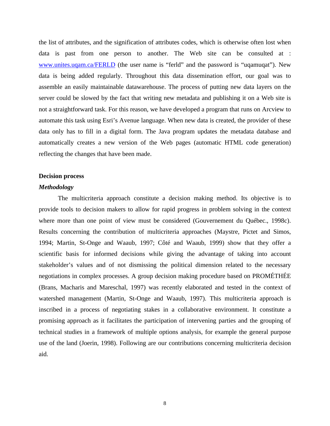the list of attributes, and the signification of attributes codes, which is otherwise often lost when data is past from one person to another. The Web site can be consulted at : www.unites.uqam.ca/FERLD (the user name is "ferld" and the password is "uqamuqat"). New data is being added regularly. Throughout this data dissemination effort, our goal was to assemble an easily maintainable datawarehouse. The process of putting new data layers on the server could be slowed by the fact that writing new metadata and publishing it on a Web site is not a straightforward task. For this reason, we have developed a program that runs on Arcview to automate this task using Esri's Avenue language. When new data is created, the provider of these data only has to fill in a digital form. The Java program updates the metadata database and automatically creates a new version of the Web pages (automatic HTML code generation) reflecting the changes that have been made.

#### **Decision process**

# *Methodology*

The multicriteria approach constitute a decision making method. Its objective is to provide tools to decision makers to allow for rapid progress in problem solving in the context where more than one point of view must be considered (Gouvernement du Québec., 1998c). Results concerning the contribution of multicriteria approaches (Maystre, Pictet and Simos, 1994; Martin, St-Onge and Waaub, 1997; Côté and Waaub, 1999) show that they offer a scientific basis for informed decisions while giving the advantage of taking into account stakeholder's values and of not dismissing the political dimension related to the necessary negotiations in complex processes. A group decision making procedure based on PROMÉTHÉE (Brans, Macharis and Mareschal, 1997) was recently elaborated and tested in the context of watershed management (Martin, St-Onge and Waaub, 1997). This multicriteria approach is inscribed in a process of negotiating stakes in a collaborative environment. It constitute a promising approach as it facilitates the participation of intervening parties and the grouping of technical studies in a framework of multiple options analysis, for example the general purpose use of the land (Joerin, 1998). Following are our contributions concerning multicriteria decision aid.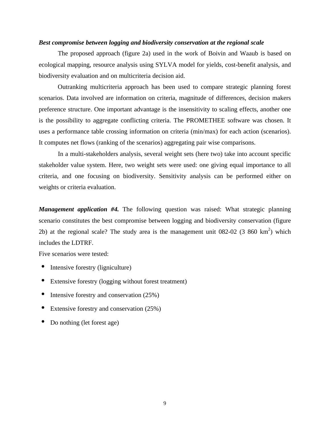# *Best compromise between logging and biodiversity conservation at the regional scale*

The proposed approach (figure 2a) used in the work of Boivin and Waaub is based on ecological mapping, resource analysis using SYLVA model for yields, cost-benefit analysis, and biodiversity evaluation and on multicriteria decision aid.

Outranking multicriteria approach has been used to compare strategic planning forest scenarios. Data involved are information on criteria, magnitude of differences, decision makers preference structure. One important advantage is the insensitivity to scaling effects, another one is the possibility to aggregate conflicting criteria. The PROMETHEE software was chosen. It uses a performance table crossing information on criteria (min/max) for each action (scenarios). It computes net flows (ranking of the scenarios) aggregating pair wise comparisons.

In a multi-stakeholders analysis, several weight sets (here two) take into account specific stakeholder value system. Here, two weight sets were used: one giving equal importance to all criteria, and one focusing on biodiversity. Sensitivity analysis can be performed either on weights or criteria evaluation.

*Management application #4.* The following question was raised: What strategic planning scenario constitutes the best compromise between logging and biodiversity conservation (figure 2b) at the regional scale? The study area is the management unit  $082-02$  (3 860 km<sup>2</sup>) which includes the LDTRF.

Five scenarios were tested:

- Intensive forestry (ligniculture)
- Extensive forestry (logging without forest treatment)
- Intensive forestry and conservation (25%)
- Extensive forestry and conservation (25%)
- Do nothing (let forest age)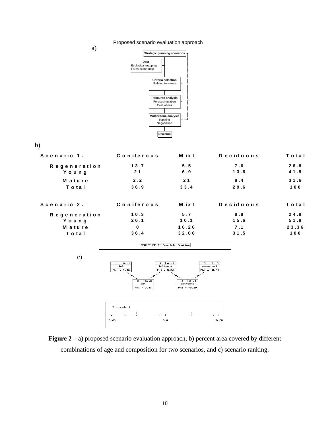Proposed scenario evaluation approach

a)



b)

| Scenario 1.         | Coniferous | M ix t         | Deciduous | Total |
|---------------------|------------|----------------|-----------|-------|
| <b>Regeneration</b> | 13.7       | 5.5            | 7.6       | 26.8  |
| Young               | 21         | 6.9            | 13.6      | 41.5  |
| <b>Mature</b>       | 2.2        | 2 <sub>1</sub> | 8.4       | 31.6  |
| Total               | 36.9       | 33.4           | 29.6      | 100   |
| Scenario 2.         | Coniferous | M ix t         | Deciduous | Total |
| <b>Regeneration</b> | 10.3       | 5.7            | 8.8       | 24.8  |
| Young               | 26.1       | 10.1           | 15.6      | 51.8  |
| <b>Mature</b>       | $\bf{0}$   | 16.26          | 7.1       | 23.36 |
| Total               | 36.4       | 32.06          | 31.5      | 100   |



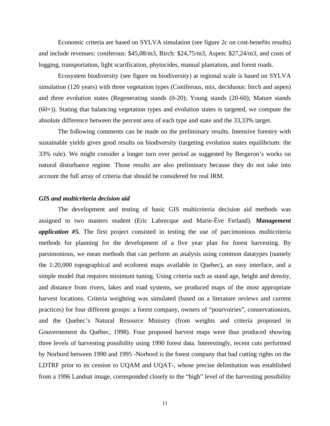Economic criteria are based on SYLVA simulation (see figure 2c on cost-benefits results) and include revenues: coniferous: \$45,08/m3, Birch: \$24,75/m3, Aspen: \$27,24/m3, and costs of logging, transportation, light scarification, phytocides, manual plantation, and forest roads.

Ecosystem biodiversity (see figure on biodiversity) at regional scale is based on SYLVA simulation (120 years) with three vegetation types (Coniferous, mix, deciduous: birch and aspen) and three evolution states (Regenerating stands (0-20); Young stands (20-60); Mature stands (60+)). Stating that balancing vegetation types and evolution states is targeted, we compute the absolute difference between the percent area of each type and state and the 33,33% target.

The following comments can be made on the preliminary results. Intensive forestry with sustainable yields gives good results on biodiversity (targeting evolution states equilibrium: the 33% rule). We might consider a longer turn over period as suggested by Bergeron's works on natural disturbance regime. Those results are also preliminary because they do not take into account the full array of criteria that should be considered for real IRM.

# *GIS and multicriteria decision aid*

The development and testing of basic GIS multicriteria decision aid methods was assigned to two masters student (Eric Labrecque and Marie-Ève Ferland). *Management application #5.* The first project consisted in testing the use of parcimonious multicriteria methods for planning for the development of a five year plan for forest harvesting. By parsimonious, we mean methods that can perform an analysis using common datatypes (namely the 1:20,000 topographical and ecoforest maps available in Quebec), an easy interface, and a simple model that requires minimum tuning. Using criteria such as stand age, height and density, and distance from rivers, lakes and road systems, we produced maps of the most appropriate harvest locations. Criteria weighting was simulated (based on a literature reviews and current practices) for four different groups: a forest company, owners of "pourvoiries", conservationists, and the Quebec's Natural Resource Ministry (from weights and criteria proposed in Gouvernement du Québec, 1998). Four proposed harvest maps were thus produced showing three levels of harvesting possibility using 1990 forest data. Interestingly, recent cuts performed by Norbord between 1990 and 1995 -Norbord is the forest company that had cutting rights on the LDTRF prior to its cession to UQAM and UQAT-, whose precise delimitation was established from a 1996 Landsat image, corresponded closely to the "high" level of the harvesting possibility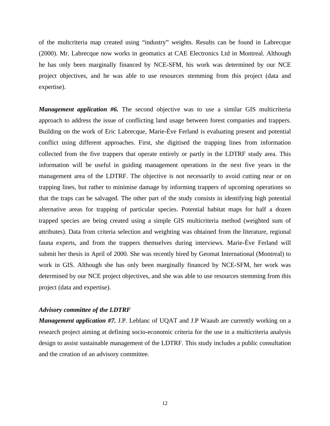of the multcriteria map created using "industry" weights. Results can be found in Labrecque (2000). Mr. Labrecque now works in geomatics at CAE Electronics Ltd in Montreal. Although he has only been marginally financed by NCE-SFM, his work was determined by our NCE project objectives, and he was able to use resources stemming from this project (data and expertise).

*Management application #6.* The second objective was to use a similar GIS multicriteria approach to address the issue of conflicting land usage between forest companies and trappers. Building on the work of Eric Labrecque, Marie-Ève Ferland is evaluating present and potential conflict using different approaches. First, she digitised the trapping lines from information collected from the five trappers that operate entirely or partly in the LDTRF study area. This information will be useful in guiding management operations in the next five years in the management area of the LDTRF. The objective is not necessarily to avoid cutting near or on trapping lines, but rather to minimise damage by informing trappers of upcoming operations so that the traps can be salvaged. The other part of the study consists in identifying high potential alternative areas for trapping of particular species. Potential habitat maps for half a dozen trapped species are being created using a simple GIS multicriteria method (weighted sum of attributes). Data from criteria selection and weighting was obtained from the literature, regional fauna experts, and from the trappers themselves during interviews. Marie-Ève Ferland will submit her thesis in April of 2000. She was recently hired by Geomat International (Montreal) to work in GIS. Although she has only been marginally financed by NCE-SFM, her work was determined by our NCE project objectives, and she was able to use resources stemming from this project (data and expertise).

#### *Advisory committee of the LDTRF*

*Management application #7.* J.P. Leblanc of UQAT and J.P Waaub are currently working on a research project aiming at defining socio-economic criteria for the use in a multicriteria analysis design to assist sustainable management of the LDTRF. This study includes a public consultation and the creation of an advisory committee.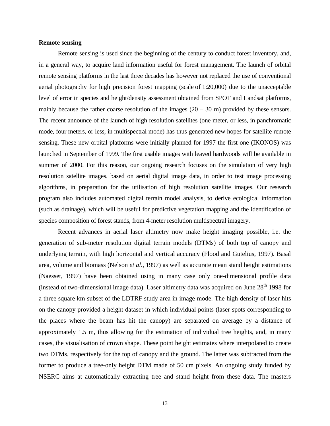### **Remote sensing**

Remote sensing is used since the beginning of the century to conduct forest inventory, and, in a general way, to acquire land information useful for forest management. The launch of orbital remote sensing platforms in the last three decades has however not replaced the use of conventional aerial photography for high precision forest mapping (scale of 1:20,000) due to the unacceptable level of error in species and height/density assessment obtained from SPOT and Landsat platforms, mainly because the rather coarse resolution of the images  $(20 - 30 \text{ m})$  provided by these sensors. The recent announce of the launch of high resolution satellites (one meter, or less, in panchromatic mode, four meters, or less, in multispectral mode) has thus generated new hopes for satellite remote sensing. These new orbital platforms were initially planned for 1997 the first one (IKONOS) was launched in September of 1999. The first usable images with leaved hardwoods will be available in summer of 2000. For this reason, our ongoing research focuses on the simulation of very high resolution satellite images, based on aerial digital image data, in order to test image processing algorithms, in preparation for the utilisation of high resolution satellite images. Our research program also includes automated digital terrain model analysis, to derive ecological information (such as drainage), which will be useful for predictive vegetation mapping and the identification of species composition of forest stands, from 4-meter resolution multispectral imagery.

Recent advances in aerial laser altimetry now make height imaging possible, i.e. the generation of sub-meter resolution digital terrain models (DTMs) of both top of canopy and underlying terrain, with high horizontal and vertical accuracy (Flood and Gutelius, 1997). Basal area, volume and biomass (Nelson *et al*., 1997) as well as accurate mean stand height estimations (Naesset, 1997) have been obtained using in many case only one-dimensional profile data (instead of two-dimensional image data). Laser altimetry data was acquired on June  $28<sup>th</sup>$  1998 for a three square km subset of the LDTRF study area in image mode. The high density of laser hits on the canopy provided a height dataset in which individual points (laser spots corresponding to the places where the beam has hit the canopy) are separated on average by a distance of approximately 1.5 m, thus allowing for the estimation of individual tree heights, and, in many cases, the visualisation of crown shape. These point height estimates where interpolated to create two DTMs, respectively for the top of canopy and the ground. The latter was subtracted from the former to produce a tree-only height DTM made of 50 cm pixels. An ongoing study funded by NSERC aims at automatically extracting tree and stand height from these data. The masters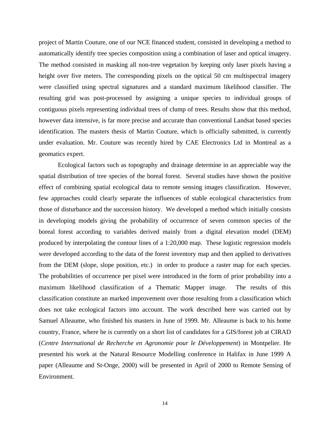project of Martin Couture, one of our NCE financed student, consisted in developing a method to automatically identify tree species composition using a combination of laser and optical imagery. The method consisted in masking all non-tree vegetation by keeping only laser pixels having a height over five meters. The corresponding pixels on the optical 50 cm multispectral imagery were classified using spectral signatures and a standard maximum likelihood classifier. The resulting grid was post-processed by assigning a unique species to individual groups of contiguous pixels representing individual trees of clump of trees. Results show that this method, however data intensive, is far more precise and accurate than conventional Landsat based species identification. The masters thesis of Martin Couture, which is officially submitted, is currently under evaluation. Mr. Couture was recently hired by CAE Electronics Ltd in Montreal as a geomatics expert.

Ecological factors such as topography and drainage determine in an appreciable way the spatial distribution of tree species of the boreal forest. Several studies have shown the positive effect of combining spatial ecological data to remote sensing images classification. However, few approaches could clearly separate the influences of stable ecological characteristics from those of disturbance and the succession history. We developed a method which initially consists in developing models giving the probability of occurrence of seven common species of the boreal forest according to variables derived mainly from a digital elevation model (DEM) produced by interpolating the contour lines of a 1:20,000 map. These logistic regression models were developed according to the data of the forest inventory map and then applied to derivatives from the DEM (slope, slope position, etc.) in order to produce a raster map for each species. The probabilities of occurrence per pixel were introduced in the form of prior probability into a maximum likelihood classification of a Thematic Mapper image. The results of this classification constitute an marked improvement over those resulting from a classification which does not take ecological factors into account. The work described here was carried out by Samuel Alleaume, who finished his masters in June of 1999. Mr. Alleaume is back to his home country, France, where he is currently on a short list of candidates for a GIS/forest job at CIRAD (*Centre International de Recherche en Agronomie pour le Développement*) in Montpelier. He presented his work at the Natural Resource Modelling conference in Halifax in June 1999 A paper (Alleaume and St-Onge, 2000) will be presented in April of 2000 to Remote Sensing of Environment.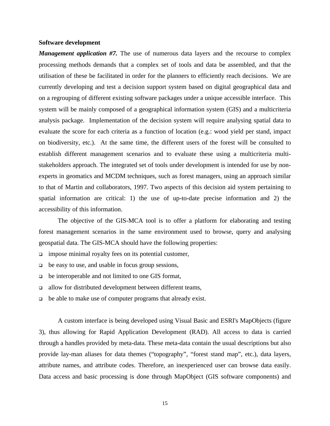#### **Software development**

*Management application #7.* The use of numerous data layers and the recourse to complex processing methods demands that a complex set of tools and data be assembled, and that the utilisation of these be facilitated in order for the planners to efficiently reach decisions. We are currently developing and test a decision support system based on digital geographical data and on a regrouping of different existing software packages under a unique accessible interface. This system will be mainly composed of a geographical information system (GIS) and a multicriteria analysis package. Implementation of the decision system will require analysing spatial data to evaluate the score for each criteria as a function of location (e.g.: wood yield per stand, impact on biodiversity, etc.). At the same time, the different users of the forest will be consulted to establish different management scenarios and to evaluate these using a multicriteria multistakeholders approach. The integrated set of tools under development is intended for use by nonexperts in geomatics and MCDM techniques, such as forest managers, using an approach similar to that of Martin and collaborators, 1997. Two aspects of this decision aid system pertaining to spatial information are critical: 1) the use of up-to-date precise information and 2) the accessibility of this information.

The objective of the GIS-MCA tool is to offer a platform for elaborating and testing forest management scenarios in the same environment used to browse, query and analysing geospatial data. The GIS-MCA should have the following properties:

- $\Box$  impose minimal royalty fees on its potential customer,
- $\Box$  be easy to use, and usable in focus group sessions,
- <sup>q</sup> be interoperable and not limited to one GIS format,
- <sup>q</sup> allow for distributed development between different teams,
- <sup>q</sup> be able to make use of computer programs that already exist.

A custom interface is being developed using Visual Basic and ESRI's MapObjects (figure 3), thus allowing for Rapid Application Development (RAD). All access to data is carried through a handles provided by meta-data. These meta-data contain the usual descriptions but also provide lay-man aliases for data themes ("topography", "forest stand map", etc.), data layers, attribute names, and attribute codes. Therefore, an inexperienced user can browse data easily. Data access and basic processing is done through MapObject (GIS software components) and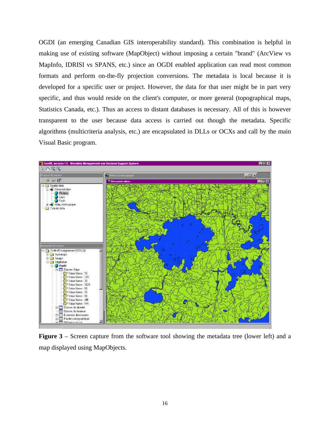OGDI (an emerging Canadian GIS interoperability standard). This combination is helpful in making use of existing software (MapObject) without imposing a certain "brand" (ArcView vs MapInfo, IDRISI vs SPANS, etc.) since an OGDI enabled application can read most common formats and perform on-the-fly projection conversions. The metadata is local because it is developed for a specific user or project. However, the data for that user might be in part very specific, and thus would reside on the client's computer, or more general (topographical maps, Statistics Canada, etc.). Thus an access to distant databases is necessary. All of this is however transparent to the user because data access is carried out though the metadata. Specific algorithms (multicriteria analysis, etc.) are encapsulated in DLLs or OCXs and call by the main Visual Basic program.



**Figure 3** – Screen capture from the software tool showing the metadata tree (lower left) and a map displayed using MapObjects.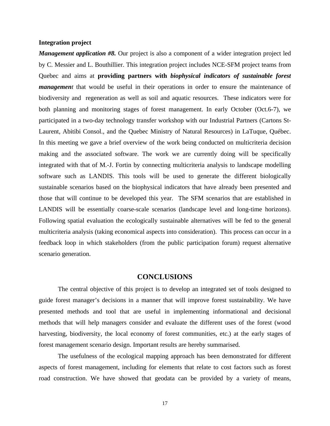#### **Integration project**

*Management application #8.* Our project is also a component of a wider integration project led by C. Messier and L. Bouthillier. This integration project includes NCE-SFM project teams from Quebec and aims at **providing partners with** *biophysical indicators of sustainable forest management* that would be useful in their operations in order to ensure the maintenance of biodiversity and regeneration as well as soil and aquatic resources. These indicators were for both planning and monitoring stages of forest management. In early October (Oct.6-7), we participated in a two-day technology transfer workshop with our Industrial Partners (Cartons St-Laurent, Abitibi Consol., and the Quebec Ministry of Natural Resources) in LaTuque, Québec. In this meeting we gave a brief overview of the work being conducted on multicriteria decision making and the associated software. The work we are currently doing will be specifically integrated with that of M.-J. Fortin by connecting multicriteria analysis to landscape modelling software such as LANDIS. This tools will be used to generate the different biologically sustainable scenarios based on the biophysical indicators that have already been presented and those that will continue to be developed this year. The SFM scenarios that are established in LANDIS will be essentially coarse-scale scenarios (landscape level and long-time horizons). Following spatial evaluation the ecologically sustainable alternatives will be fed to the general multicriteria analysis (taking economical aspects into consideration). This process can occur in a feedback loop in which stakeholders (from the public participation forum) request alternative scenario generation.

# **CONCLUSIONS**

The central objective of this project is to develop an integrated set of tools designed to guide forest manager's decisions in a manner that will improve forest sustainability. We have presented methods and tool that are useful in implementing informational and decisional methods that will help managers consider and evaluate the different uses of the forest (wood harvesting, biodiversity, the local economy of forest communities, etc.) at the early stages of forest management scenario design. Important results are hereby summarised.

The usefulness of the ecological mapping approach has been demonstrated for different aspects of forest management, including for elements that relate to cost factors such as forest road construction. We have showed that geodata can be provided by a variety of means,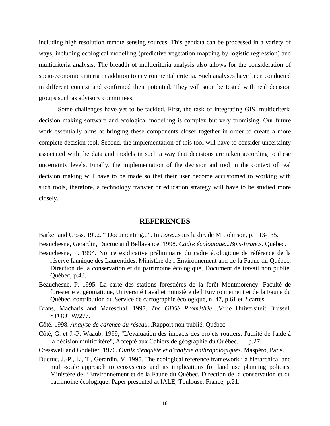including high resolution remote sensing sources. This geodata can be processed in a variety of ways, including ecological modelling (predictive vegetation mapping by logistic regression) and multicriteria analysis. The breadth of multicriteria analysis also allows for the consideration of socio-economic criteria in addition to environmental criteria. Such analyses have been conducted in different context and confirmed their potential. They will soon be tested with real decision groups such as advisory committees.

Some challenges have yet to be tackled. First, the task of integrating GIS, multicriteria decision making software and ecological modelling is complex but very promising. Our future work essentially aims at bringing these components closer together in order to create a more complete decision tool. Second, the implementation of this tool will have to consider uncertainty associated with the data and models in such a way that decisions are taken according to these uncertainty levels. Finally, the implementation of the decision aid tool in the context of real decision making will have to be made so that their user become accustomed to working with such tools, therefore, a technology transfer or education strategy will have to be studied more closely.

# **REFERENCES**

Barker and Cross. 1992. " Documenting...". In *Lore...*sous la dir. de M. Johnson, p. 113-135.

Beauchesne, Gerardin, Ducruc and Bellavance. 1998. *Cadre écologique...Bois-Francs*. Québec.

- Beauchesne, P. 1994. Notice explicative préliminaire du cadre écologique de référence de la réserve faunique des Laurentides. Ministère de l'Environnement and de la Faune du Québec, Direction de la conservation et du patrimoine écologique, Document de travail non publié, Québec, p.43.
- Beauchesne, P. 1995. La carte des stations forestières de la forêt Montmorency. Faculté de foresterie et géomatique, Université Laval et ministère de l'Environnement et de la Faune du Québec, contribution du Service de cartographie écologique, n. 47, p.61 et 2 cartes.
- Brans, Macharis and Mareschal. 1997. *The GDSS Prométhée*…Vrije Universiteit Brussel, STOOTW/277.
- Côté. 1998. *Analyse de carence du réseau*...Rapport non publié, Québec.
- Côté, G. et J.-P. Waaub, 1999, "L'évaluation des impacts des projets routiers: l'utilité de l'aide à la décision multicritère", Accepté aux Cahiers de géographie du Québec. p.27.
- Cresswell and Godelier. 1976. *Outils d'enquête et d'analyse anthropologiques*. Maspéro, Paris.
- Ducruc, J.-P., Li, T., Gerardin, V. 1995. The ecological reference framework : a hierarchical and multi-scale approach to ecosystems and its implications for land use planning policies. Ministère de l'Environnement et de la Faune du Québec, Direction de la conservation et du patrimoine écologique. Paper presented at IALE, Toulouse, France, p.21.